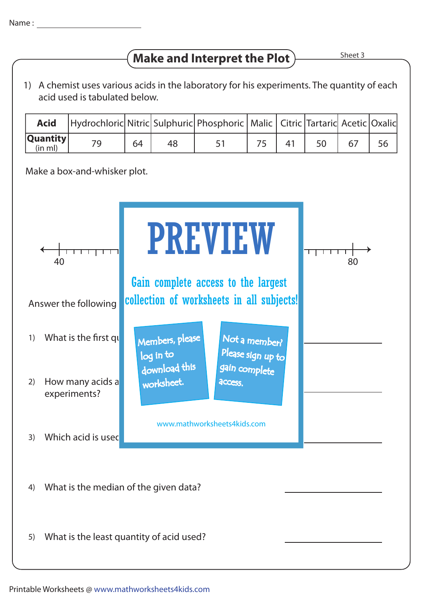## **Make and Interpret the Plot**  $\frac{\text{Sheet 3}}{\text{Sheet 3}}$